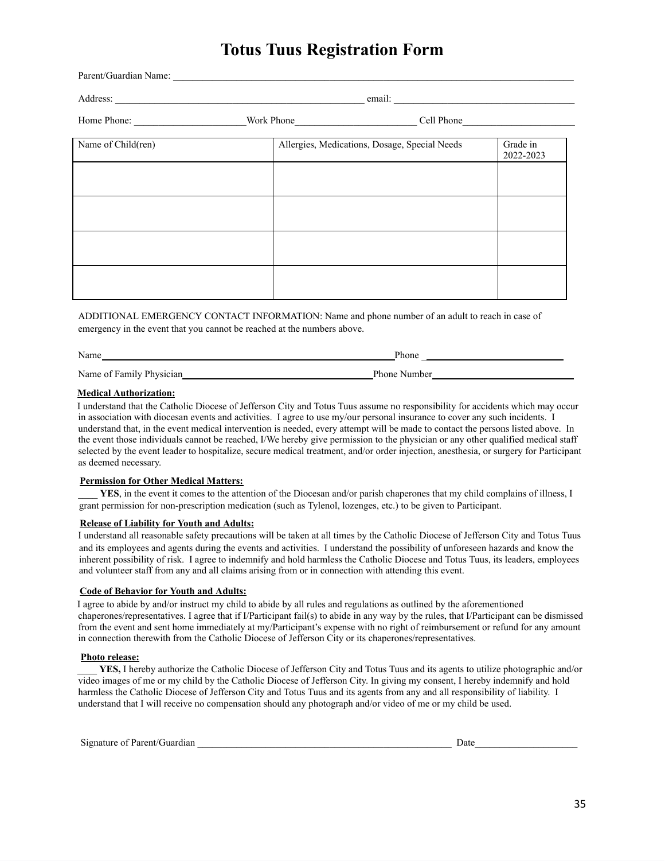# **Totus Tuus Registration Form**

| Name of Child(ren) |  |                                               |                       |  |  |
|--------------------|--|-----------------------------------------------|-----------------------|--|--|
|                    |  | Allergies, Medications, Dosage, Special Needs | Grade in<br>2022-2023 |  |  |
|                    |  |                                               |                       |  |  |
|                    |  |                                               |                       |  |  |
|                    |  |                                               |                       |  |  |
|                    |  |                                               |                       |  |  |
|                    |  |                                               |                       |  |  |
|                    |  |                                               |                       |  |  |

ADDITIONAL EMERGENCY CONTACT INFORMATION: Name and phone number of an adult to reach in case of emergency in the event that you cannot be reached at the numbers above.

| Name                     | <sup>o</sup> hone |  |  |  |
|--------------------------|-------------------|--|--|--|
| Name of Family Physician | Phone Number      |  |  |  |

### **Medical Authorization:**

I understand that the Catholic Diocese of Jefferson City and Totus Tuus assume no responsibility for accidents which may occur in association with diocesan events and activities. I agree to use my/our personal insurance to cover any such incidents. I understand that, in the event medical intervention is needed, every attempt will be made to contact the persons listed above. In the event those individuals cannot be reached, I/We hereby give permission to the physician or any other qualified medical staff selected by the event leader to hospitalize, secure medical treatment, and/or order injection, anesthesia, or surgery for Participant as deemed necessary.

#### **Permission for Other Medical Matters:**

YES, in the event it comes to the attention of the Diocesan and/or parish chaperones that my child complains of illness, I grant permission for non-prescription medication (such as Tylenol, lozenges, etc.) to be given to Participant.

#### **Release of Liability for Youth and Adults:**

I understand all reasonable safety precautions will be taken at all times by the Catholic Diocese of Jefferson City and Totus Tuus and its employees and agents during the events and activities. I understand the possibility of unforeseen hazards and know the inherent possibility of risk. I agree to indemnify and hold harmless the Catholic Diocese and Totus Tuus, its leaders, employees and volunteer staff from any and all claims arising from or in connection with attending this event.

## **Code of Behavior for Youth and Adults:**

I agree to abide by and/or instruct my child to abide by all rules and regulations as outlined by the aforementioned chaperones/representatives. I agree that if I/Participant fail(s) to abide in any way by the rules, that I/Participant can be dismissed from the event and sent home immediately at my/Participant's expense with no right of reimbursement or refund for any amount in connection therewith from the Catholic Diocese of Jefferson City or its chaperones/representatives.

#### **Photo release:**

YES, I hereby authorize the Catholic Diocese of Jefferson City and Totus Tuus and its agents to utilize photographic and/or video images of me or my child by the Catholic Diocese of Jefferson City. In giving my consent, I hereby indemnify and hold harmless the Catholic Diocese of Jefferson City and Totus Tuus and its agents from any and all responsibility of liability. I understand that I will receive no compensation should any photograph and/or video of me or my child be used.

| Signature of Parent/Guardian | )ate |  |
|------------------------------|------|--|
|                              |      |  |